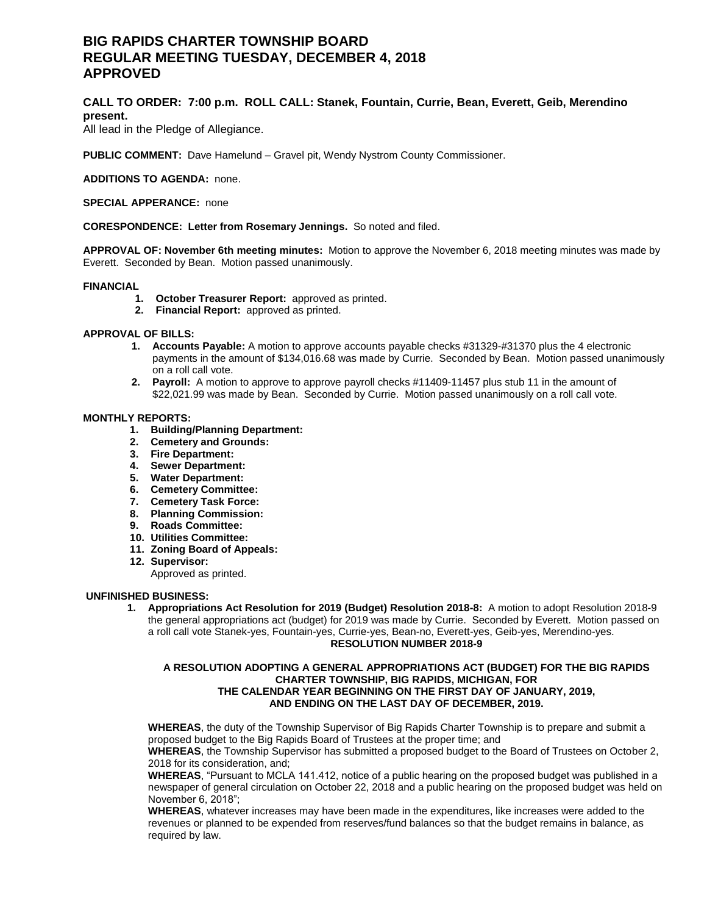# **BIG RAPIDS CHARTER TOWNSHIP BOARD REGULAR MEETING TUESDAY, DECEMBER 4, 2018 APPROVED**

# **CALL TO ORDER: 7:00 p.m. ROLL CALL: Stanek, Fountain, Currie, Bean, Everett, Geib, Merendino present.**

All lead in the Pledge of Allegiance.

**PUBLIC COMMENT:** Dave Hamelund – Gravel pit, Wendy Nystrom County Commissioner.

**ADDITIONS TO AGENDA:** none.

**SPECIAL APPERANCE:** none

#### **CORESPONDENCE: Letter from Rosemary Jennings.** So noted and filed.

**APPROVAL OF: November 6th meeting minutes:** Motion to approve the November 6, 2018 meeting minutes was made by Everett. Seconded by Bean. Motion passed unanimously.

#### **FINANCIAL**

- **1. October Treasurer Report:** approved as printed.
- **2. Financial Report:** approved as printed.

## **APPROVAL OF BILLS:**

- **1. Accounts Payable:** A motion to approve accounts payable checks #31329-#31370 plus the 4 electronic payments in the amount of \$134,016.68 was made by Currie. Seconded by Bean. Motion passed unanimously on a roll call vote.
- **2. Payroll:** A motion to approve to approve payroll checks #11409-11457 plus stub 11 in the amount of \$22,021.99 was made by Bean. Seconded by Currie. Motion passed unanimously on a roll call vote.

#### **MONTHLY REPORTS:**

- **1. Building/Planning Department:**
- **2. Cemetery and Grounds:**
- **3. Fire Department:**
- **4. Sewer Department:**
- **5. Water Department:**
- **6. Cemetery Committee:**
- **7. Cemetery Task Force:**
- **8. Planning Commission:**
- **9. Roads Committee:**
- **10. Utilities Committee:**
- **11. Zoning Board of Appeals:**
- **12. Supervisor:**

Approved as printed.

#### **UNFINISHED BUSINESS:**

**1. Appropriations Act Resolution for 2019 (Budget) Resolution 2018-8:** A motion to adopt Resolution 2018-9 the general appropriations act (budget) for 2019 was made by Currie. Seconded by Everett. Motion passed on a roll call vote Stanek-yes, Fountain-yes, Currie-yes, Bean-no, Everett-yes, Geib-yes, Merendino-yes. **RESOLUTION NUMBER 2018-9**

#### **A RESOLUTION ADOPTING A GENERAL APPROPRIATIONS ACT (BUDGET) FOR THE BIG RAPIDS CHARTER TOWNSHIP, BIG RAPIDS, MICHIGAN, FOR THE CALENDAR YEAR BEGINNING ON THE FIRST DAY OF JANUARY, 2019, AND ENDING ON THE LAST DAY OF DECEMBER, 2019.**

**WHEREAS**, the duty of the Township Supervisor of Big Rapids Charter Township is to prepare and submit a proposed budget to the Big Rapids Board of Trustees at the proper time; and

**WHEREAS**, the Township Supervisor has submitted a proposed budget to the Board of Trustees on October 2, 2018 for its consideration, and;

**WHEREAS**, "Pursuant to MCLA 141.412, notice of a public hearing on the proposed budget was published in a newspaper of general circulation on October 22, 2018 and a public hearing on the proposed budget was held on November 6, 2018";

**WHEREAS**, whatever increases may have been made in the expenditures, like increases were added to the revenues or planned to be expended from reserves/fund balances so that the budget remains in balance, as required by law.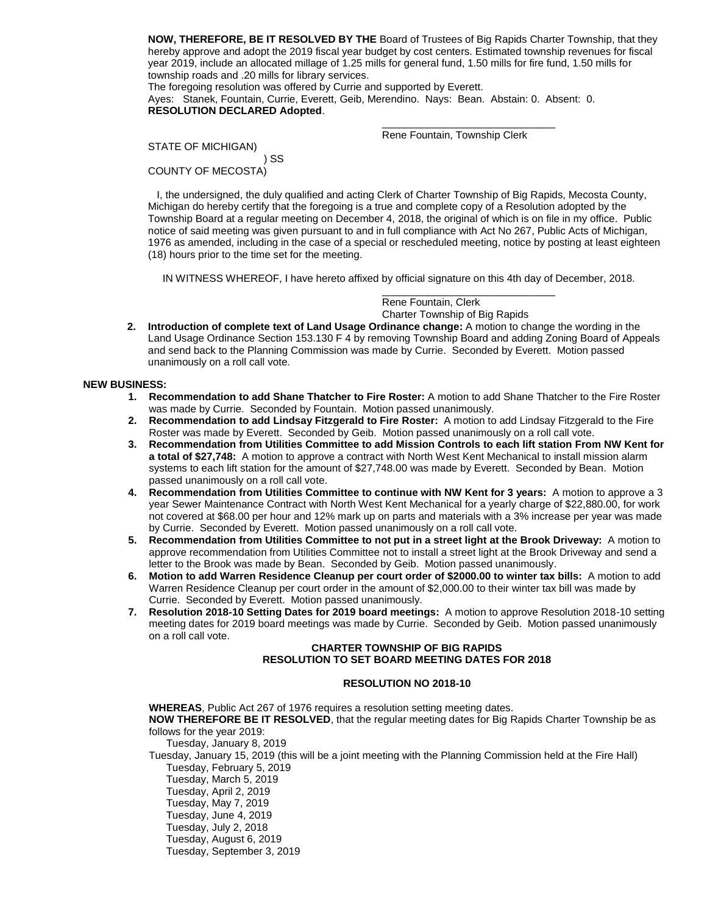**NOW, THEREFORE, BE IT RESOLVED BY THE** Board of Trustees of Big Rapids Charter Township, that they hereby approve and adopt the 2019 fiscal year budget by cost centers. Estimated township revenues for fiscal year 2019, include an allocated millage of 1.25 mills for general fund, 1.50 mills for fire fund, 1.50 mills for township roads and .20 mills for library services.

The foregoing resolution was offered by Currie and supported by Everett. Ayes: Stanek, Fountain, Currie, Everett, Geib, Merendino. Nays: Bean. Abstain: 0. Absent: 0. **RESOLUTION DECLARED Adopted**.

 $\frac{1}{\sqrt{2}}$  , and the state of the state of the state of the state of the state of the state of the state of the state of the state of the state of the state of the state of the state of the state of the state of the sta Rene Fountain, Township Clerk

STATE OF MICHIGAN) ) SS COUNTY OF MECOSTA)

 I, the undersigned, the duly qualified and acting Clerk of Charter Township of Big Rapids, Mecosta County, Michigan do hereby certify that the foregoing is a true and complete copy of a Resolution adopted by the Township Board at a regular meeting on December 4, 2018, the original of which is on file in my office. Public notice of said meeting was given pursuant to and in full compliance with Act No 267, Public Acts of Michigan, 1976 as amended, including in the case of a special or rescheduled meeting, notice by posting at least eighteen (18) hours prior to the time set for the meeting.

IN WITNESS WHEREOF, I have hereto affixed by official signature on this 4th day of December, 2018.

 $\frac{1}{\sqrt{2}}$  , and the state of the state of the state of the state of the state of the state of the state of the state of the state of the state of the state of the state of the state of the state of the state of the sta Rene Fountain, Clerk Charter Township of Big Rapids

**2. Introduction of complete text of Land Usage Ordinance change:** A motion to change the wording in the Land Usage Ordinance Section 153.130 F 4 by removing Township Board and adding Zoning Board of Appeals and send back to the Planning Commission was made by Currie. Seconded by Everett. Motion passed unanimously on a roll call vote.

## **NEW BUSINESS:**

- **1. Recommendation to add Shane Thatcher to Fire Roster:** A motion to add Shane Thatcher to the Fire Roster was made by Currie. Seconded by Fountain. Motion passed unanimously.
- **2. Recommendation to add Lindsay Fitzgerald to Fire Roster:** A motion to add Lindsay Fitzgerald to the Fire Roster was made by Everett. Seconded by Geib. Motion passed unanimously on a roll call vote.
- **3. Recommendation from Utilities Committee to add Mission Controls to each lift station From NW Kent for a total of \$27,748:** A motion to approve a contract with North West Kent Mechanical to install mission alarm systems to each lift station for the amount of \$27,748.00 was made by Everett. Seconded by Bean. Motion passed unanimously on a roll call vote.
- **4. Recommendation from Utilities Committee to continue with NW Kent for 3 years:** A motion to approve a 3 year Sewer Maintenance Contract with North West Kent Mechanical for a yearly charge of \$22,880.00, for work not covered at \$68.00 per hour and 12% mark up on parts and materials with a 3% increase per year was made by Currie. Seconded by Everett. Motion passed unanimously on a roll call vote.
- **5. Recommendation from Utilities Committee to not put in a street light at the Brook Driveway:** A motion to approve recommendation from Utilities Committee not to install a street light at the Brook Driveway and send a letter to the Brook was made by Bean. Seconded by Geib. Motion passed unanimously.
- **6. Motion to add Warren Residence Cleanup per court order of \$2000.00 to winter tax bills:** A motion to add Warren Residence Cleanup per court order in the amount of \$2,000.00 to their winter tax bill was made by Currie. Seconded by Everett. Motion passed unanimously.
- **7. Resolution 2018-10 Setting Dates for 2019 board meetings:** A motion to approve Resolution 2018-10 setting meeting dates for 2019 board meetings was made by Currie. Seconded by Geib. Motion passed unanimously on a roll call vote.

# **CHARTER TOWNSHIP OF BIG RAPIDS RESOLUTION TO SET BOARD MEETING DATES FOR 2018**

## **RESOLUTION NO 2018-10**

**WHEREAS**, Public Act 267 of 1976 requires a resolution setting meeting dates. **NOW THEREFORE BE IT RESOLVED**, that the regular meeting dates for Big Rapids Charter Township be as follows for the year 2019: Tuesday, January 8, 2019

Tuesday, January 15, 2019 (this will be a joint meeting with the Planning Commission held at the Fire Hall) Tuesday, February 5, 2019

Tuesday, March 5, 2019

- Tuesday, April 2, 2019
- Tuesday, May 7, 2019
- Tuesday, June 4, 2019
- Tuesday, July 2, 2018
- Tuesday, August 6, 2019
- Tuesday, September 3, 2019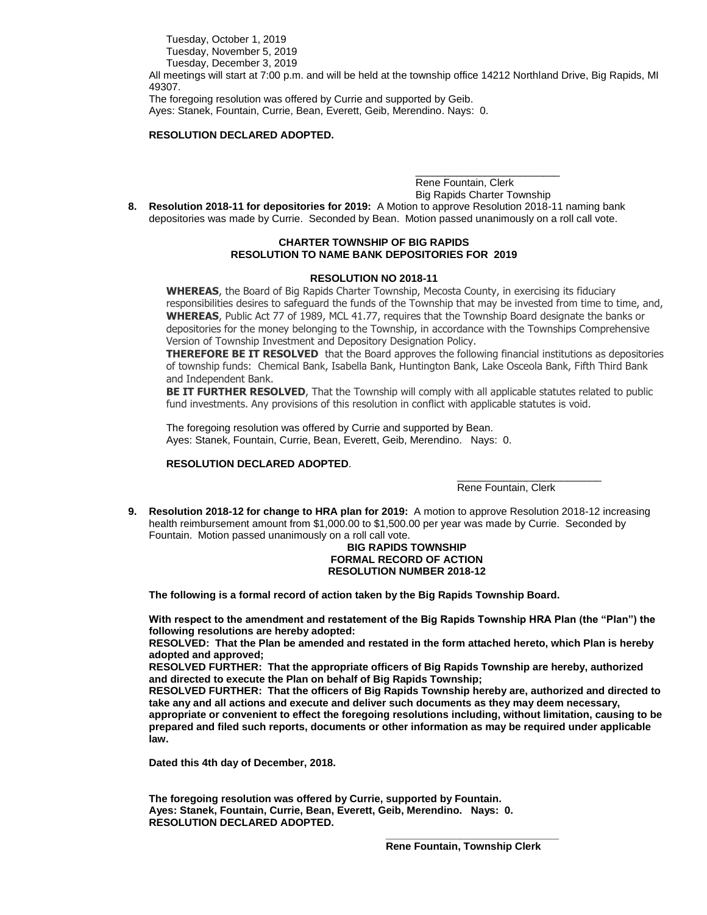Tuesday, October 1, 2019 Tuesday, November 5, 2019 Tuesday, December 3, 2019

All meetings will start at 7:00 p.m. and will be held at the township office 14212 Northland Drive, Big Rapids, MI 49307.

The foregoing resolution was offered by Currie and supported by Geib. Ayes: Stanek, Fountain, Currie, Bean, Everett, Geib, Merendino. Nays: 0.

## **RESOLUTION DECLARED ADOPTED.**

\_\_\_\_\_\_\_\_\_\_\_\_\_\_\_\_\_\_\_\_\_\_\_\_\_ Rene Fountain, Clerk Big Rapids Charter Township

**8. Resolution 2018-11 for depositories for 2019:** A Motion to approve Resolution 2018-11 naming bank depositories was made by Currie. Seconded by Bean. Motion passed unanimously on a roll call vote.

## **CHARTER TOWNSHIP OF BIG RAPIDS RESOLUTION TO NAME BANK DEPOSITORIES FOR 2019**

### **RESOLUTION NO 2018-11**

**WHEREAS**, the Board of Big Rapids Charter Township, Mecosta County, in exercising its fiduciary responsibilities desires to safeguard the funds of the Township that may be invested from time to time, and, **WHEREAS**, Public Act 77 of 1989, MCL 41.77, requires that the Township Board designate the banks or depositories for the money belonging to the Township, in accordance with the Townships Comprehensive Version of Township Investment and Depository Designation Policy.

**THEREFORE BE IT RESOLVED** that the Board approves the following financial institutions as depositories of township funds: Chemical Bank, Isabella Bank, Huntington Bank, Lake Osceola Bank, Fifth Third Bank and Independent Bank.

**BE IT FURTHER RESOLVED**, That the Township will comply with all applicable statutes related to public fund investments. Any provisions of this resolution in conflict with applicable statutes is void.

The foregoing resolution was offered by Currie and supported by Bean. Ayes: Stanek, Fountain, Currie, Bean, Everett, Geib, Merendino. Nays: 0.

## **RESOLUTION DECLARED ADOPTED**.

Rene Fountain, Clerk

\_\_\_\_\_\_\_\_\_\_\_\_\_\_\_\_\_\_\_\_\_\_\_\_\_

**9. Resolution 2018-12 for change to HRA plan for 2019:** A motion to approve Resolution 2018-12 increasing health reimbursement amount from \$1,000.00 to \$1,500.00 per year was made by Currie. Seconded by Fountain. Motion passed unanimously on a roll call vote.

## **BIG RAPIDS TOWNSHIP FORMAL RECORD OF ACTION RESOLUTION NUMBER 2018-12**

**The following is a formal record of action taken by the Big Rapids Township Board.**

**With respect to the amendment and restatement of the Big Rapids Township HRA Plan (the "Plan") the following resolutions are hereby adopted:**

**RESOLVED: That the Plan be amended and restated in the form attached hereto, which Plan is hereby adopted and approved;**

**RESOLVED FURTHER: That the appropriate officers of Big Rapids Township are hereby, authorized and directed to execute the Plan on behalf of Big Rapids Township;**

**RESOLVED FURTHER: That the officers of Big Rapids Township hereby are, authorized and directed to take any and all actions and execute and deliver such documents as they may deem necessary, appropriate or convenient to effect the foregoing resolutions including, without limitation, causing to be prepared and filed such reports, documents or other information as may be required under applicable law.**

**Dated this 4th day of December, 2018.**

**The foregoing resolution was offered by Currie, supported by Fountain. Ayes: Stanek, Fountain, Currie, Bean, Everett, Geib, Merendino. Nays: 0. RESOLUTION DECLARED ADOPTED.**

 **\_\_\_\_\_\_\_\_\_\_\_\_\_\_\_\_\_\_\_\_\_\_\_\_\_\_\_\_\_\_**